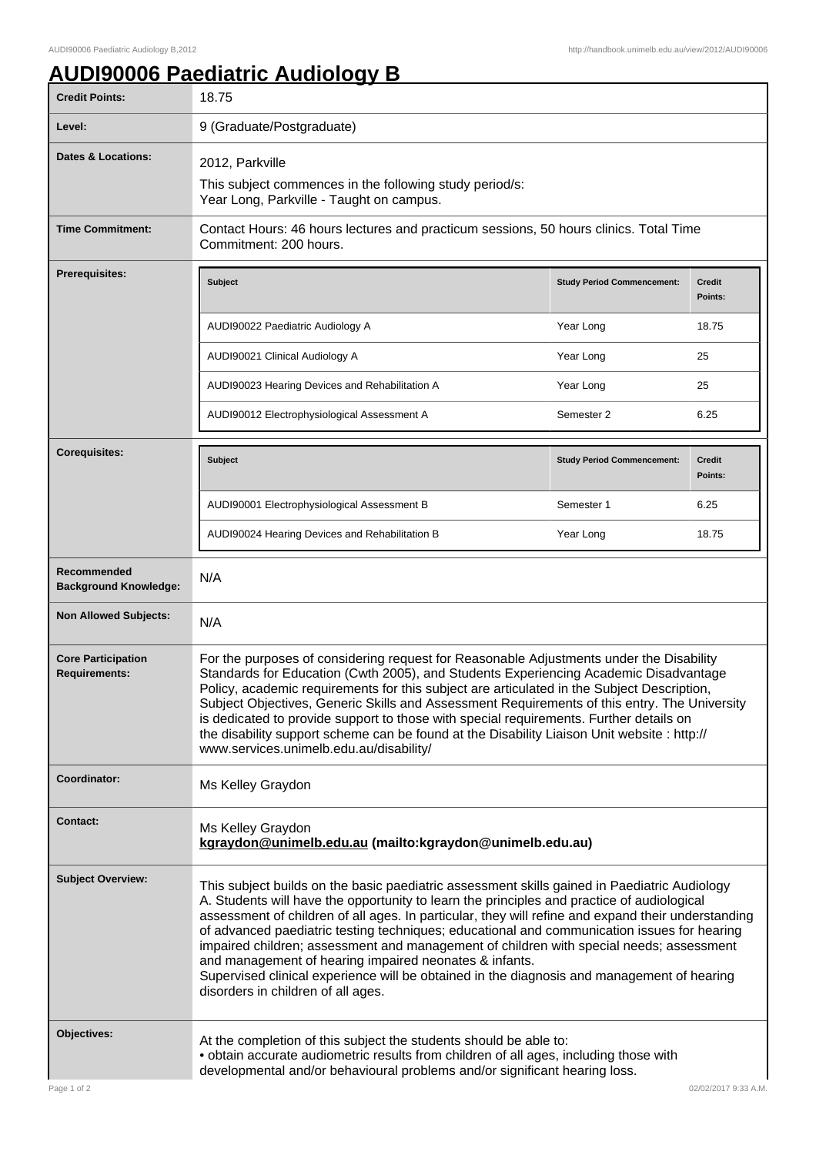## **AUDI90006 Paediatric Audiology B**

| <b>Credit Points:</b>                             | 18.75                                                                                                                                                                                                                                                                                                                                                                                                                                                                                                                                                                                                                                                                                    |                                   |                          |
|---------------------------------------------------|------------------------------------------------------------------------------------------------------------------------------------------------------------------------------------------------------------------------------------------------------------------------------------------------------------------------------------------------------------------------------------------------------------------------------------------------------------------------------------------------------------------------------------------------------------------------------------------------------------------------------------------------------------------------------------------|-----------------------------------|--------------------------|
| Level:                                            | 9 (Graduate/Postgraduate)                                                                                                                                                                                                                                                                                                                                                                                                                                                                                                                                                                                                                                                                |                                   |                          |
| <b>Dates &amp; Locations:</b>                     | 2012, Parkville                                                                                                                                                                                                                                                                                                                                                                                                                                                                                                                                                                                                                                                                          |                                   |                          |
|                                                   | This subject commences in the following study period/s:<br>Year Long, Parkville - Taught on campus.                                                                                                                                                                                                                                                                                                                                                                                                                                                                                                                                                                                      |                                   |                          |
| <b>Time Commitment:</b>                           | Contact Hours: 46 hours lectures and practicum sessions, 50 hours clinics. Total Time<br>Commitment: 200 hours.                                                                                                                                                                                                                                                                                                                                                                                                                                                                                                                                                                          |                                   |                          |
| Prerequisites:                                    | Subject                                                                                                                                                                                                                                                                                                                                                                                                                                                                                                                                                                                                                                                                                  | <b>Study Period Commencement:</b> | <b>Credit</b><br>Points: |
|                                                   | AUDI90022 Paediatric Audiology A                                                                                                                                                                                                                                                                                                                                                                                                                                                                                                                                                                                                                                                         | Year Long                         | 18.75                    |
|                                                   | AUDI90021 Clinical Audiology A                                                                                                                                                                                                                                                                                                                                                                                                                                                                                                                                                                                                                                                           | Year Long                         | 25                       |
|                                                   | AUDI90023 Hearing Devices and Rehabilitation A                                                                                                                                                                                                                                                                                                                                                                                                                                                                                                                                                                                                                                           | Year Long                         | 25                       |
|                                                   | AUDI90012 Electrophysiological Assessment A                                                                                                                                                                                                                                                                                                                                                                                                                                                                                                                                                                                                                                              | Semester 2                        | 6.25                     |
| <b>Corequisites:</b>                              | <b>Subject</b>                                                                                                                                                                                                                                                                                                                                                                                                                                                                                                                                                                                                                                                                           | <b>Study Period Commencement:</b> | <b>Credit</b><br>Points: |
|                                                   | AUDI90001 Electrophysiological Assessment B                                                                                                                                                                                                                                                                                                                                                                                                                                                                                                                                                                                                                                              | Semester 1                        | 6.25                     |
|                                                   | AUDI90024 Hearing Devices and Rehabilitation B                                                                                                                                                                                                                                                                                                                                                                                                                                                                                                                                                                                                                                           | Year Long                         | 18.75                    |
| Recommended<br><b>Background Knowledge:</b>       | N/A                                                                                                                                                                                                                                                                                                                                                                                                                                                                                                                                                                                                                                                                                      |                                   |                          |
| <b>Non Allowed Subjects:</b>                      | N/A                                                                                                                                                                                                                                                                                                                                                                                                                                                                                                                                                                                                                                                                                      |                                   |                          |
| <b>Core Participation</b><br><b>Requirements:</b> | For the purposes of considering request for Reasonable Adjustments under the Disability<br>Standards for Education (Cwth 2005), and Students Experiencing Academic Disadvantage<br>Policy, academic requirements for this subject are articulated in the Subject Description,<br>Subject Objectives, Generic Skills and Assessment Requirements of this entry. The University<br>is dedicated to provide support to those with special requirements. Further details on<br>the disability support scheme can be found at the Disability Liaison Unit website : http://<br>www.services.unimelb.edu.au/disability/                                                                        |                                   |                          |
| Coordinator:                                      | Ms Kelley Graydon                                                                                                                                                                                                                                                                                                                                                                                                                                                                                                                                                                                                                                                                        |                                   |                          |
| Contact:                                          | Ms Kelley Graydon<br>kgraydon@unimelb.edu.au (mailto:kgraydon@unimelb.edu.au)                                                                                                                                                                                                                                                                                                                                                                                                                                                                                                                                                                                                            |                                   |                          |
| <b>Subject Overview:</b>                          | This subject builds on the basic paediatric assessment skills gained in Paediatric Audiology<br>A. Students will have the opportunity to learn the principles and practice of audiological<br>assessment of children of all ages. In particular, they will refine and expand their understanding<br>of advanced paediatric testing techniques; educational and communication issues for hearing<br>impaired children; assessment and management of children with special needs; assessment<br>and management of hearing impaired neonates & infants.<br>Supervised clinical experience will be obtained in the diagnosis and management of hearing<br>disorders in children of all ages. |                                   |                          |
| Objectives:                                       | At the completion of this subject the students should be able to:<br>. obtain accurate audiometric results from children of all ages, including those with<br>developmental and/or behavioural problems and/or significant hearing loss.                                                                                                                                                                                                                                                                                                                                                                                                                                                 |                                   |                          |
| Page 1 of 2                                       |                                                                                                                                                                                                                                                                                                                                                                                                                                                                                                                                                                                                                                                                                          |                                   | 02/02/2017 9:33 A.M.     |